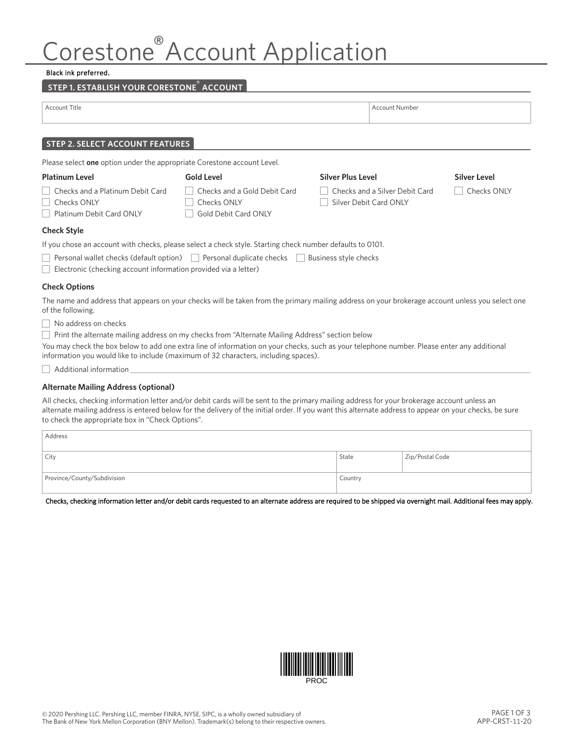# Corestone<sup>®</sup>Account Application

#### Black ink preferred.

## **STEP 1. ESTABLISH YOUR CORESTONE® ACCOUNT**

| Account Title                                                                                                                                                                                                                      |                                                                                                 | <b>Account Number</b>                                    |                     |  |  |  |
|------------------------------------------------------------------------------------------------------------------------------------------------------------------------------------------------------------------------------------|-------------------------------------------------------------------------------------------------|----------------------------------------------------------|---------------------|--|--|--|
| <b>STEP 2. SELECT ACCOUNT FEATURES</b>                                                                                                                                                                                             |                                                                                                 |                                                          |                     |  |  |  |
| Please select one option under the appropriate Corestone account Level.                                                                                                                                                            |                                                                                                 |                                                          |                     |  |  |  |
| <b>Platinum Level</b>                                                                                                                                                                                                              | <b>Gold Level</b>                                                                               | <b>Silver Plus Level</b>                                 | <b>Silver Level</b> |  |  |  |
| Checks and a Platinum Debit Card<br>Checks ONLY<br>Platinum Debit Card ONLY                                                                                                                                                        | Checks and a Gold Debit Card<br>Checks ONLY<br>Gold Debit Card ONLY                             | Checks and a Silver Debit Card<br>Silver Debit Card ONLY | Checks ONLY         |  |  |  |
| <b>Check Style</b>                                                                                                                                                                                                                 |                                                                                                 |                                                          |                     |  |  |  |
| If you chose an account with checks, please select a check style. Starting check number defaults to 0101.                                                                                                                          |                                                                                                 |                                                          |                     |  |  |  |
| Electronic (checking account information provided via a letter)                                                                                                                                                                    | Personal wallet checks (default option)   Personal duplicate checks                             | Business style checks                                    |                     |  |  |  |
| <b>Check Options</b>                                                                                                                                                                                                               |                                                                                                 |                                                          |                     |  |  |  |
| The name and address that appears on your checks will be taken from the primary mailing address on your brokerage account unless you select one<br>of the following.                                                               |                                                                                                 |                                                          |                     |  |  |  |
| $\vert$ No address on checks                                                                                                                                                                                                       |                                                                                                 |                                                          |                     |  |  |  |
|                                                                                                                                                                                                                                    | Print the alternate mailing address on my checks from "Alternate Mailing Address" section below |                                                          |                     |  |  |  |
| You may check the box below to add one extra line of information on your checks, such as your telephone number. Please enter any additional<br>information you would like to include (maximum of 32 characters, including spaces). |                                                                                                 |                                                          |                     |  |  |  |

 $\Box$  Additional information

## **Alternate Mailing Address (optional)**

All checks, checking information letter and/or debit cards will be sent to the primary mailing address for your brokerage account unless an alternate mailing address is entered below for the delivery of the initial order. If you want this alternate address to appear on your checks, be sure to check the appropriate box in "Check Options".

| Address                     |         |                 |
|-----------------------------|---------|-----------------|
| City                        | State   | Zip/Postal Code |
| Province/County/Subdivision | Country |                 |

Checks, checking information letter and/or debit cards requested to an alternate address are required to be shipped via overnight mail. Additional fees may apply.

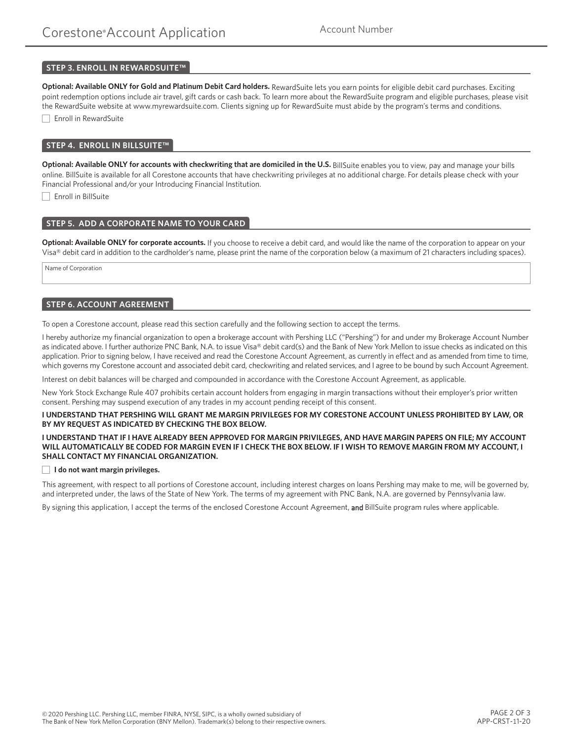## **STEP 3. ENROLL IN REWARDSUITE™**

**Optional: Available ONLY for Gold and Platinum Debit Card holders.** RewardSuite lets you earn points for eligible debit card purchases. Exciting point redemption options include air travel, gift cards or cash back. To learn more about the RewardSuite program and eligible purchases, please visit the RewardSuite website at www.myrewardsuite.com. Clients signing up for RewardSuite must abide by the program's terms and conditions.

Enroll in RewardSuite

## **STEP 4. ENROLL IN BILLSUITE™**

Optional: Available ONLY for accounts with checkwriting that are domiciled in the U.S. BillSuite enables you to view, pay and manage your bills online. BillSuite is available for all Corestone accounts that have checkwriting privileges at no additional charge. For details please check with your Financial Professional and/or your Introducing Financial Institution.

Enroll in BillSuite

## **STEP 5. ADD A CORPORATE NAME TO YOUR CARD**

**Optional: Available ONLY for corporate accounts.** If you choose to receive a debit card, and would like the name of the corporation to appear on your Visa® debit card in addition to the cardholder's name, please print the name of the corporation below (a maximum of 21 characters including spaces).

Name of Corporation

## **STEP 6. ACCOUNT AGREEMENT**

To open a Corestone account, please read this section carefully and the following section to accept the terms.

I hereby authorize my financial organization to open a brokerage account with Pershing LLC ("Pershing") for and under my Brokerage Account Number as indicated above. I further authorize PNC Bank, N.A. to issue Visa® debit card(s) and the Bank of New York Mellon to issue checks as indicated on this application. Prior to signing below, I have received and read the Corestone Account Agreement, as currently in effect and as amended from time to time, which governs my Corestone account and associated debit card, checkwriting and related services, and I agree to be bound by such Account Agreement.

Interest on debit balances will be charged and compounded in accordance with the Corestone Account Agreement, as applicable.

New York Stock Exchange Rule 407 prohibits certain account holders from engaging in margin transactions without their employer's prior written consent. Pershing may suspend execution of any trades in my account pending receipt of this consent.

#### **I UNDERSTAND THAT PERSHING WILL GRANT ME MARGIN PRIVILEGES FOR MY CORESTONE ACCOUNT UNLESS PROHIBITED BY LAW, OR BY MY REQUEST AS INDICATED BY CHECKING THE BOX BELOW.**

#### **I UNDERSTAND THAT IF I HAVE ALREADY BEEN APPROVED FOR MARGIN PRIVILEGES, AND HAVE MARGIN PAPERS ON FILE; MY ACCOUNT**  WILL AUTOMATICALLY BE CODED FOR MARGIN EVEN IF I CHECK THE BOX BELOW. IF I WISH TO REMOVE MARGIN FROM MY ACCOUNT, I **SHALL CONTACT MY FINANCIAL ORGANIZATION.**

#### **I do not want margin privileges.**

This agreement, with respect to all portions of Corestone account, including interest charges on loans Pershing may make to me, will be governed by, and interpreted under, the laws of the State of New York. The terms of my agreement with PNC Bank, N.A. are governed by Pennsylvania law.

By signing this application, I accept the terms of the enclosed Corestone Account Agreement, and BillSuite program rules where applicable.